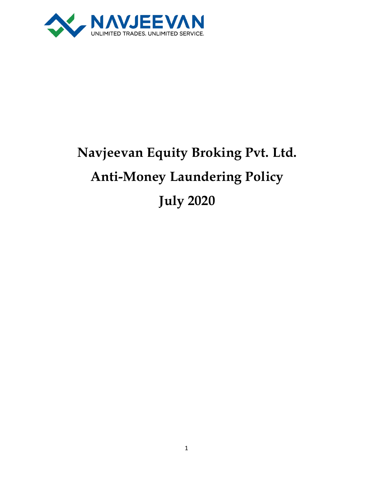

# **Navjeevan Equity Broking Pvt. Ltd. Anti-Money Laundering Policy July 2020**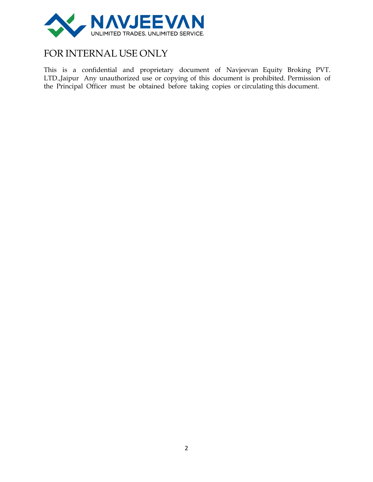

## FOR INTERNAL USE ONLY

This is a confidential and proprietary document of Navjeevan Equity Broking PVT. LTD.,Jaipur Any unauthorized use or copying of this document is prohibited. Permission of the Principal Officer must be obtained before taking copies or circulating this document.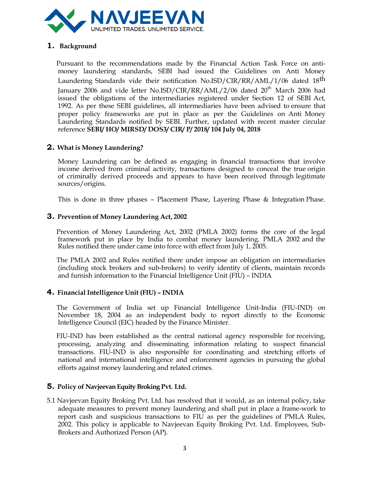

#### **1. Background**

Pursuant to the recommendations made by the Financial Action Task Force on antimoney laundering standards, SEBI had issued the Guidelines on Anti Money Laundering Standards vide their notification No.ISD/CIR/RR/AML/1/06 dated 18<sup>th</sup> January 2006 and vide letter No.ISD/CIR/RR/AML/2/06 dated  $20^{th}$  March 2006 had issued the obligations of the intermediaries registered under Section 12 of SEBI Act, 1992. As per these SEBI guidelines, all intermediaries have been advised to ensure that proper policy frameworks are put in place as per the Guidelines on Anti Money Laundering Standards notified by SEBI. Further, updated with recent master circular reference **SEBI/ HO/ MIRSD/ DOS3/ CIR/ P/ 2018/ 104 July 04, 2018**

#### **2. What is Money Laundering?**

Money Laundering can be defined as engaging in financial transactions that involve income derived from criminal activity, transactions designed to conceal the true origin of criminally derived proceeds and appears to have been received through legitimate sources/origins.

This is done in three phases – Placement Phase, Layering Phase & Integration Phase.

#### **3. Prevention of Money Laundering Act, 2002**

Prevention of Money Laundering Act, 2002 (PMLA 2002) forms the core of the legal framework put in place by India to combat money laundering. PMLA 2002 and the Rules notified there under came into force with effect from July 1, 2005.

The PMLA 2002 and Rules notified there under impose an obligation on intermediaries (including stock brokers and sub-brokers) to verify identity of clients, maintain records and furnish information to the Financial Intelligence Unit (FIU) – INDIA

#### **4. Financial Intelligence Unit (FIU) – INDIA**

The Government of India set up Financial Intelligence Unit-India (FIU-IND) on November 18, 2004 as an independent body to report directly to the Economic Intelligence Council (EIC) headed by the Finance Minister.

FIU-IND has been established as the central national agency responsible for receiving, processing, analyzing and disseminating information relating to suspect financial transactions. FIU-IND is also responsible for coordinating and stretching efforts of national and international intelligence and enforcement agencies in pursuing the global efforts against money laundering and related crimes.

#### **5. Policy of Navjeevan Equity BrokingPvt. Ltd.**

5.1 Navjeevan Equity Broking Pvt. Ltd. has resolved that it would, as an internal policy, take adequate measures to prevent money laundering and shall put in place a frame-work to report cash and suspicious transactions to FIU as per the guidelines of PMLA Rules, 2002. This policy is applicable to Navjeevan Equity Broking Pvt. Ltd. Employees, Sub-Brokers and Authorized Person (AP).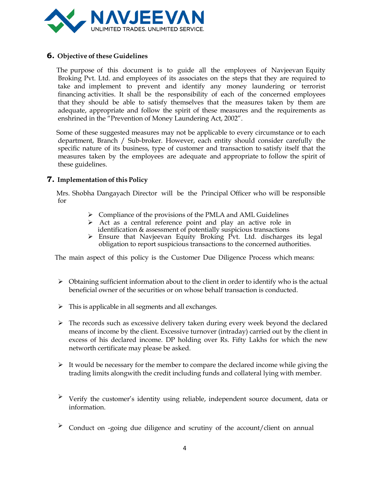

#### **6. Objective of these Guidelines**

The purpose of this document is to guide all the employees of Navjeevan Equity Broking Pvt. Ltd. and employees of its associates on the steps that they are required to take and implement to prevent and identify any money laundering or terrorist financing activities. It shall be the responsibility of each of the concerned employees that they should be able to satisfy themselves that the measures taken by them are adequate, appropriate and follow the spirit of these measures and the requirements as enshrined in the "Prevention of Money Laundering Act, 2002".

Some of these suggested measures may not be applicable to every circumstance or to each department, Branch / Sub-broker. However, each entity should consider carefully the specific nature of its business, type of customer and transaction to satisfy itself that the measures taken by the employees are adequate and appropriate to follow the spirit of these guidelines.

#### **7. Implementation** of this Policy

Mrs. Shobha Dangayach Director will be the Principal Officer who will be responsible for

- $\triangleright$  Compliance of the provisions of the PMLA and AML Guidelines
- ➢ Act as a central reference point and play an active role in identification & assessment of potentially suspicious transactions
- $\triangleright$  Ensure that Navjeevan Equity Broking Pvt. Ltd. discharges its legal obligation to report suspicious transactions to the concerned authorities.

The main aspect of this policy is the Customer Due Diligence Process which means:

- ➢ Obtaining sufficient information about to the client in order to identify who is the actual beneficial owner of the securities or on whose behalf transaction is conducted.
- $\triangleright$  This is applicable in all segments and all exchanges.
- $\triangleright$  The records such as excessive delivery taken during every week beyond the declared means of income by the client. Excessive turnover (intraday) carried out by the client in excess of his declared income. DP holding over Rs. Fifty Lakhs for which the new networth certificate may please be asked.
- $\triangleright$  It would be necessary for the member to compare the declared income while giving the trading limits alongwith the credit including funds and collateral lying with member.
- ➢ Verify the customer's identity using reliable, independent source document, data or information.
- Conduct on -going due diligence and scrutiny of the account/client on annual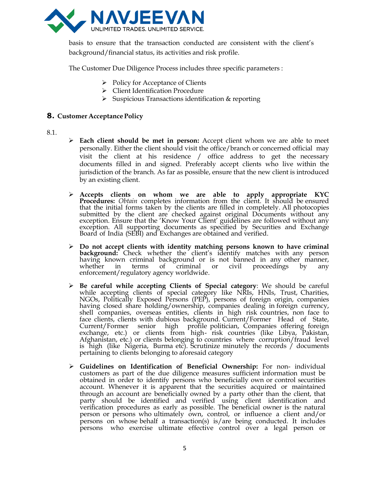

basis to ensure that the transaction conducted are consistent with the client's background/financial status, its activities and risk profile.

The Customer Due Diligence Process includes three specific parameters :

- ➢ Policy for Acceptance of Clients
- ➢ Client Identification Procedure
- ➢ Suspicious Transactions identification & reporting

#### **8. Customer Acceptance Policy**

#### 8.1.

- ➢ **Each client should be met in person:** Accept client whom we are able to meet personally. Either the client should visit the office/branch or concerned official may visit the client at his residence / office address to get the necessary documents filled in and signed. Preferably accept clients who live within the jurisdiction of the branch. As far as possible, ensure that the new client is introduced by an existing client.
- ➢ **Accepts clients on whom we are able to apply appropriate KYC Procedures:** *Obtain* completes information from the client. It should be ensured that the initial forms taken by the clients are filled in completely. All photocopies submitted by the client are checked against original Documents without any exception. Ensure that the 'Know Your Client' guidelines are followed without any exception. All supporting documents as specified by Securities and Exchange Board of India (SEBI) and Exchanges are obtained and verified.
- ➢ **Do not accept clients with identity matching persons known to have criminal background:** Check whether the client's identify matches with any person having known criminal background or is not banned in any other manner, whether in terms of criminal or civil proceedings by any enforcement/regulatory agency worldwide.
- ➢ **Be careful while accepting Clients of Special category**: We should be careful while accepting clients of special category like NRIs, HNIs, Trust, Charities, NGOs, Politically Exposed Persons (PEP), persons of foreign origin, companies having closed share holding/ownership, companies dealing in foreign currency, shell companies, overseas entities, clients in high risk countries, non face to face clients, clients with dubious background. Current/Former Head of State, Current/Former senior high profile politician, Companies offering foreign exchange, etc.) or clients from high- risk countries (like Libya, Pakistan, Afghanistan, etc.) or clients belonging to countries where corruption/fraud level is high (like Nigeria, Burma etc). Scrutinize minutely the records  $\dot{\!}$  documents pertaining to clients belonging to aforesaid category
- ➢ **Guidelines on Identification of Beneficial Ownership:** For non- individual customers as part of the due diligence measures sufficient information must be obtained in order to identify persons who beneficially own or control securities account. Whenever it is apparent that the securities acquired or maintained through an account are beneficially owned by a party other than the client, that party should be identified and verified using client identification and verification procedures as early as possible. The beneficial owner is the natural person or persons who ultimately own, control, or influence a client and/or persons on whose behalf a transaction(s) is/are being conducted. It includes persons who exercise ultimate effective control over a legal person or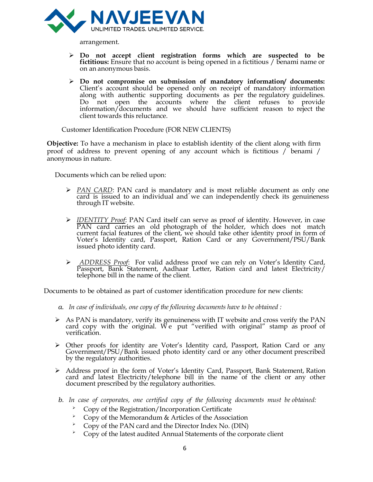

arrangement.

- ➢ **Do not accept client registration forms which are suspected to be fictitious:** Ensure that no account is being opened in a fictitious / benami name or on an anonymous basis.
- ➢ **Do not compromise on submission of mandatory information/ documents:** Client's account should be opened only on receipt of mandatory information along with authentic supporting documents as per the regulatory guidelines. Do not open the accounts where the client refuses to provide information/documents and we should have sufficient reason to reject the client towards this reluctance.

Customer Identification Procedure (FOR NEW CLIENTS)

**Objective:** To have a mechanism in place to establish identity of the client along with firm proof of address to prevent opening of any account which is fictitious / benami / anonymous in nature.

Documents which can be relied upon:

- ➢ *PAN CARD*: PAN card is mandatory and is most reliable document as only one card is issued to an individual and we can independently check its genuineness through IT website.
- ➢ *IDENTITY Proof*: PAN Card itself can serve as proof of identity. However, in case PAN card carries an old photograph of the holder, which does not match current facial features of the client, we should take other identity proof in form of Voter's Identity card, Passport, Ration Card or any Government/PSU/Bank issued photo identity card.
- ➢ *ADDRESS Proof*: For valid address proof we can rely on Voter's Identity Card, Passport, Bank Statement, Aadhaar Letter, Ration card and latest Electricity/ telephone bill in the name of the client.

Documents to be obtained as part of customer identification procedure for new clients:

- *a. In case of individuals, one copy of the following documents have to be obtained :*
- $\triangleright$  As PAN is mandatory, verify its genuineness with IT website and cross verify the PAN card copy with the original. We put "verified with original" stamp as proof of verification.
- ➢ Other proofs for identity are Voter's Identity card, Passport, Ration Card or any Government/PSU/Bank issued photo identity card or any other document prescribed by the regulatory authorities.
- ➢ Address proof in the form of Voter's Identity Card, Passport, Bank Statement, Ration card and latest Electricity/telephone bill in the name of the client or any other document prescribed by the regulatory authorities.
- *b. In case of corporates, one certified copy of the following documents must be obtained:*
	- ➢ Copy of the Registration/Incorporation Certificate
	- ➢ Copy of the Memorandum & Articles of the Association
	- ➢ Copy of the PAN card and the Director Index No. (DIN)
	- ➢ Copy of the latest audited Annual Statements of the corporate client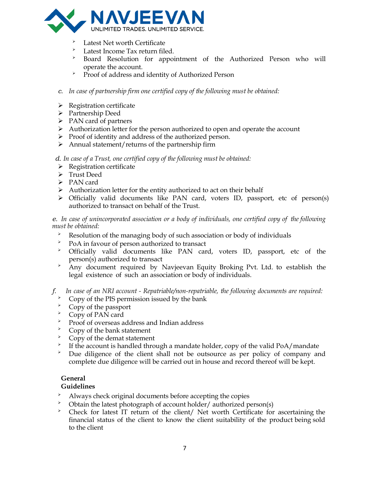

- Latest Net worth Certificate
- Latest Income Tax return filed.
- Board Resolution for appointment of the Authorized Person who will operate the account.
- ➢ Proof of address and identity of Authorized Person
- *c. In case of partnership firm one certified copy of the following must be obtained:*
- ➢ Registration certificate
- ➢ Partnership Deed
- ➢ PAN card of partners
- ➢ Authorization letter for the person authorized to open and operate the account
- ➢ Proof of identity and address of the authorized person.
- $\triangleright$  Annual statement/returns of the partnership firm

*d. In case of a Trust, one certified copy of the following must be obtained:*

- ➢ Registration certificate
- ➢ Trust Deed
- ➢ PAN card
- ➢ Authorization letter for the entity authorized to act on their behalf
- ➢ Officially valid documents like PAN card, voters ID, passport, etc of person(s) authorized to transact on behalf of the Trust.

*e. In case of unincorporated association or a body of individuals, one certified copy of the following must be obtained:*

- Resolution of the managing body of such association or body of individuals<br>  $\sum_{P \cap \Delta} P_{\cap \Delta}$  in favour of person authorized to transact
- $\geq$  PoA in favour of person authorized to transact<br>  $\geq$  Officially valid documents like PAN car
- ➢ Officially valid documents like PAN card, voters ID, passport, etc of the person(s) authorized to transact
- ➢ Any document required by Navjeevan Equity Broking Pvt. Ltd. to establish the legal existence of such an association or body of individuals.

*f. In case of an NRI account - Repatriable/non-repatriable, the following documents are required:*

- $\sum_{n=1}^{\infty}$  Copy of the PIS permission issued by the bank
- $\sum_{i=1}^{\infty}$  Copy of the passport
- $\rightarrow$  Copy of PAN card
- Proof of overseas address and Indian address<br>  $\sum_{n=1}^{\infty}$  Copy of the bank statement
- $\sum_{n=1}^{\infty}$  Copy of the bank statement
- ➢ Copy of the demat statement
- $\blacktriangleright$ If the account is handled through a mandate holder, copy of the valid PoA/mandate
- ➢ Due diligence of the client shall not be outsource as per policy of company and complete due diligence will be carried out in house and record thereof will be kept.

#### **General**

- **Guidelines**<br>**Always c** Always check original documents before accepting the copies<br>  $\sum_{n=1}^{\infty}$  Obtain the latest photograph of account holder/authorized po
- $\geq$  Obtain the latest photograph of account holder/ authorized person(s)<br>  $\geq$  Check for latest IT return of the client/ Net worth Certificate for
- Check for latest IT return of the client/ Net worth Certificate for ascertaining the financial status of the client to know the client suitability of the product being sold to the client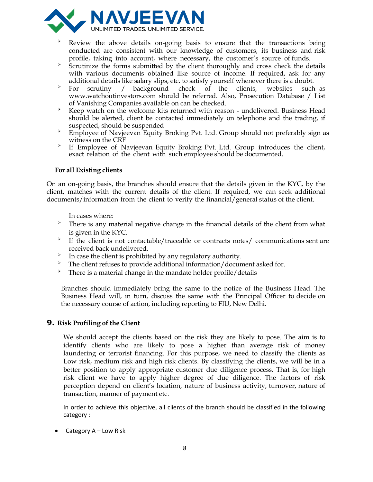

- ➢ Review the above details on-going basis to ensure that the transactions being conducted are consistent with our knowledge of customers, its business and risk profile, taking into account, where necessary, the customer's source of funds.
- <sup>></sup> Scrutinize the forms submitted by the client thoroughly and cross check the details with various documents obtained like source of income. If required, ask for any additional details like salary slips, etc. to satisfy yourself whenever there is a doubt.
- ➢ For scrutiny / background check of the clients, websites such as [www.watchoutinvestors.com](http://www.watchoutinvestors.com/) should be referred. Also, Prosecution Database / List of Vanishing Companies available on can be checked.
- Keep watch on the welcome kits returned with reason undelivered. Business Head should be alerted, client be contacted immediately on telephone and the trading, if suspected, should be suspended
- ➢ Employee of Navjeevan Equity Broking Pvt. Ltd. Group should not preferably sign as witness on the CRF
- ➢ If Employee of Navjeevan Equity Broking Pvt. Ltd. Group introduces the client, exact relation of the client with such employee should be documented.

#### **For all Existing clients**

On an on-going basis, the branches should ensure that the details given in the KYC, by the client, matches with the current details of the client. If required, we can seek additional documents/information from the client to verify the financial/general status of the client.

In cases where:

- ➢ There is any material negative change in the financial details of the client from what is given in the KYC.
- $\geq$ If the client is not contactable/traceable or contracts notes/ communications sent are received back undelivered.
- ➢ In case the client is prohibited by any regulatory authority.
- ➢ The client refuses to provide additional information/document asked for.
- $\overrightarrow{P}$  There is a material change in the mandate holder profile/details

Branches should immediately bring the same to the notice of the Business Head. The Business Head will, in turn, discuss the same with the Principal Officer to decide on the necessary course of action, including reporting to FIU, New Delhi.

#### **9. Risk Profiling of the Client**

We should accept the clients based on the risk they are likely to pose. The aim is to identify clients who are likely to pose a higher than average risk of money laundering or terrorist financing. For this purpose, we need to classify the clients as Low risk, medium risk and high risk clients. By classifying the clients, we will be in a better position to apply appropriate customer due diligence process. That is, for high risk client we have to apply higher degree of due diligence. The factors of risk perception depend on client's location, nature of business activity, turnover, nature of transaction, manner of payment etc.

In order to achieve this objective, all clients of the branch should be classified in the following category :

• Category A – Low Risk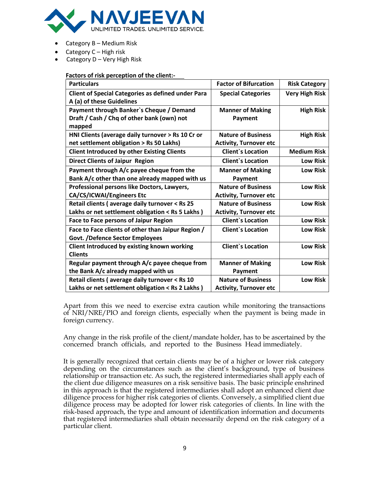

- Category B Medium Risk
- Category C High risk
- Category D Very High Risk

#### **Factors of risk perception of the client:-**

| <b>Particulars</b>                                        | <b>Factor of Bifurcation</b>  | <b>Risk Category</b>  |
|-----------------------------------------------------------|-------------------------------|-----------------------|
| <b>Client of Special Categories as defined under Para</b> | <b>Special Categories</b>     | <b>Very High Risk</b> |
| A (a) of these Guidelines                                 |                               |                       |
| Payment through Banker's Cheque / Demand                  | <b>Manner of Making</b>       | <b>High Risk</b>      |
| Draft / Cash / Chq of other bank (own) not                | Payment                       |                       |
| mapped                                                    |                               |                       |
| HNI Clients (average daily turnover > Rs 10 Cr or         | <b>Nature of Business</b>     | <b>High Risk</b>      |
| net settlement obligation > Rs 50 Lakhs)                  | <b>Activity, Turnover etc</b> |                       |
| <b>Client Introduced by other Existing Clients</b>        | <b>Client's Location</b>      | <b>Medium Risk</b>    |
| <b>Direct Clients of Jaipur Region</b>                    | <b>Client's Location</b>      | <b>Low Risk</b>       |
| Payment through A/c payee cheque from the                 | <b>Manner of Making</b>       | <b>Low Risk</b>       |
| Bank A/c other than one already mapped with us            | Payment                       |                       |
| Professional persons like Doctors, Lawyers,               | <b>Nature of Business</b>     | <b>Low Risk</b>       |
| CA/CS/ICWAI/Engineers Etc                                 | <b>Activity, Turnover etc</b> |                       |
| Retail clients (average daily turnover < Rs 25            | <b>Nature of Business</b>     | <b>Low Risk</b>       |
| Lakhs or net settlement obligation < Rs 5 Lakhs)          | <b>Activity, Turnover etc</b> |                       |
| <b>Face to Face persons of Jaipur Region</b>              | <b>Client's Location</b>      | <b>Low Risk</b>       |
| Face to Face clients of other than Jaipur Region /        | <b>Client's Location</b>      | <b>Low Risk</b>       |
| <b>Govt. /Defence Sector Employees</b>                    |                               |                       |
| Client Introduced by existing known working               | <b>Client's Location</b>      | <b>Low Risk</b>       |
| <b>Clients</b>                                            |                               |                       |
| Regular payment through A/c payee cheque from             | <b>Manner of Making</b>       | <b>Low Risk</b>       |
| the Bank A/c already mapped with us                       | Payment                       |                       |
| Retail clients (average daily turnover < Rs 10            | <b>Nature of Business</b>     | <b>Low Risk</b>       |
| Lakhs or net settlement obligation < Rs 2 Lakhs)          | <b>Activity, Turnover etc</b> |                       |

Apart from this we need to exercise extra caution while monitoring the transactions of NRI/NRE/PIO and foreign clients, especially when the payment is being made in foreign currency.

Any change in the risk profile of the client/mandate holder, has to be ascertained by the concerned branch officials, and reported to the Business Head immediately.

It is generally recognized that certain clients may be of a higher or lower risk category depending on the circumstances such as the client's background, type of business relationship or transaction etc. As such, the registered intermediaries shall apply each of the client due diligence measures on a risk sensitive basis. The basic principle enshrined in this approach is that the registered intermediaries shall adopt an enhanced client due diligence process for higher risk categories of clients. Conversely, a simplified client due diligence process may be adopted for lower risk categories of clients. In line with the risk-based approach, the type and amount of identification information and documents that registered intermediaries shall obtain necessarily depend on the risk category of a particular client.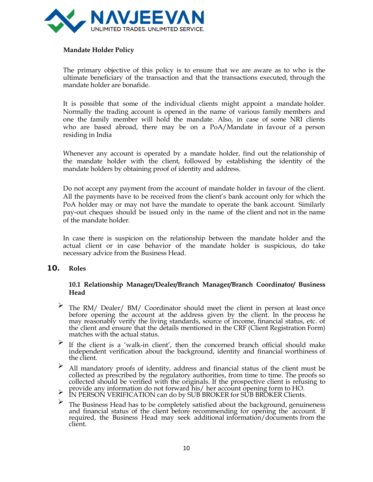

#### **Mandate Holder Policy**

The primary objective of this policy is to ensure that we are aware as to who is the ultimate beneficiary of the transaction and that the transactions executed, through the mandate holder are bonafide.

It is possible that some of the individual clients might appoint a mandate holder. Normally the trading account is opened in the name of various family members and one the family member will hold the mandate. Also, in case of some NRI clients who are based abroad, there may be on a PoA/Mandate in favour of a person residing in India

Whenever any account is operated by a mandate holder, find out the relationship of the mandate holder with the client, followed by establishing the identity of the mandate holders by obtaining proof of identity and address.

Do not accept any payment from the account of mandate holder in favour of the client. All the payments have to be received from the client's bank account only for which the PoA holder may or may not have the mandate to operate the bank account. Similarly pay-out cheques should be issued only in the name of the client and not in the name of the mandate holder.

In case there is suspicion on the relationship between the mandate holder and the actual client or in case behavior of the mandate holder is suspicious, do take necessary advice from the Business Head.

#### **10. Roles**

#### **10.1 Relationship Manager/Dealer/Branch Manager/Branch Coordinator/ Business Head**

- ➢ The RM/ Dealer/ BM/ Coordinator should meet the client in person at least once before opening the account at the address given by the client. In the process he may reasonably verify the living standards, source of income, financial status, etc. of the client and ensure that the details mentioned in the CRF (Client Registration Form) matches with the actual status.
- If the client is a 'walk-in client', then the concerned branch official should make independent verification about the background, identity and financial worthiness of the client.
- ➢ All mandatory proofs of identity, address and financial status of the client must be collected as prescribed by the regulatory authorities, from time to time. The proofs so collected should be verified with the originals. If the prospective client is refusing to
- provide any information do not forward his/ her account opening form to HO. ➢ IN PERSON VERIFICATION can do by SUB BROKER for SUB BROKER Clients.
- $\triangleright$  The Business Head has to be completely satisfied about the background, genuineness and financial status of the client before recommending for opening the account. If required, the Business Head may seek additional information/documents from the client.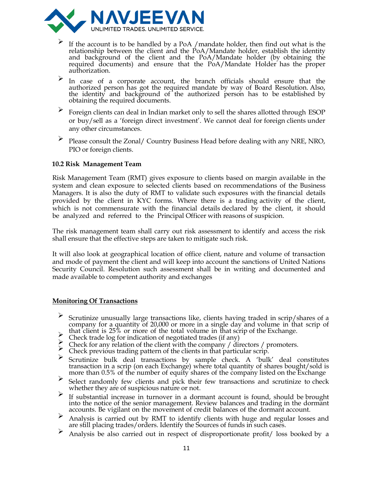

- $\triangleright$  If the account is to be handled by a PoA /mandate holder, then find out what is the relationship between the client and the PoA/Mandate holder, establish the identity and background of the client and the PoA/Mandate holder (by obtaining the required documents) and ensure that the PoA/Mandate Holder has the proper authorization.
- ➢ In case of <sup>a</sup> corporate account, the branch officials should ensure that the authorized person has got the required mandate by way of Board Resolution. Also, the identity and background of the authorized person has to be established by obtaining the required documents.
- ➢ Foreign clients can deal in Indian market only to sell the shares allotted through ESOP or buy/sell as a 'foreign direct investment'. We cannot deal for foreign clients under any other circumstances.
- ➢ Please consult the Zonal/ Country Business Head before dealing with any NRE, NRO, PIO or foreign clients.

#### **10.2 Risk Management Team**

Risk Management Team (RMT) gives exposure to clients based on margin available in the system and clean exposure to selected clients based on recommendations of the Business Managers. It is also the duty of RMT to validate such exposures with the financial details provided by the client in KYC forms. Where there is a trading activity of the client, which is not commensurate with the financial details declared by the client, it should be analyzed and referred to the Principal Officer with reasons of suspicion.

The risk management team shall carry out risk assessment to identify and access the risk shall ensure that the effective steps are taken to mitigate such risk.

It will also look at geographical location of office client, nature and volume of transaction and mode of payment the client and will keep into account the sanctions of United Nations Security Council. Resolution such assessment shall be in writing and documented and made available to competent authority and exchanges

#### **Monitoring Of Transactions**

- ➢ Scrutinize unusually large transactions like, clients having traded in scrip/shares of <sup>a</sup> company for a quantity of 20,000 or more in a single day and volume in that scrip of
- that client is 25% or more of the total volume in that scrip of the Exchange.<br>  $\triangleright$  Check trade log for indication of negotiated trades (if any)
- Check trade log for indication of negotiated trades (if any)<br>
Check for any relation of the client with the company / directors / promoters.<br>
Constitution hally deal the particular script of the clients in that particular
- 
- ➢ Scrutinize bulk deal transactions by sample check. <sup>A</sup> 'bulk' deal constitutes transaction in a scrip (on each Exchange) where total quantity of shares bought/sold is more than 0.5% of the number of equity shares of the company listed on the Exchange
- ➢ Select randomly few clients and pick their few transactions and scrutinize to check whether they are of suspicious nature or not.
- ➢ If substantial increase in turnover in <sup>a</sup> dormant account is found, should be brought into the notice of the senior management. Review balances and trading in the dormant accounts. Be vigilant on the movement of credit balances of the dormant account.
- ➢ Analysis is carried out by RMT to identify clients with huge and regular losses and are still placing trades/orders. Identify the Sources of funds in such cases.
- Analysis be also carried out in respect of disproportionate profit/ loss booked by a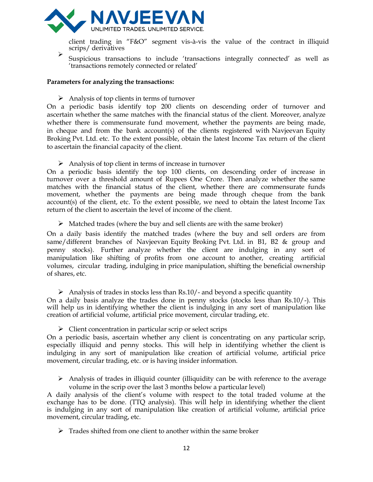

client trading in "F&O" segment vis-à-vis the value of the contract in illiquid scrips/ derivatives

➢ Suspicious transactions to include 'transactions integrally connected' as well as 'transactions remotely connected or related'

#### **Parameters for analyzing the transactions:**

 $\triangleright$  Analysis of top clients in terms of turnover

On a periodic basis identify top 200 clients on descending order of turnover and ascertain whether the same matches with the financial status of the client. Moreover, analyze whether there is commensurate fund movement, whether the payments are being made, in cheque and from the bank account(s) of the clients registered with Navjeevan Equity Broking Pvt. Ltd. etc. To the extent possible, obtain the latest Income Tax return of the client to ascertain the financial capacity of the client.

➢ Analysis of top client in terms of increase in turnover

On a periodic basis identify the top 100 clients, on descending order of increase in turnover over a threshold amount of Rupees One Crore. Then analyze whether the same matches with the financial status of the client, whether there are commensurate funds movement, whether the payments are being made through cheque from the bank account(s) of the client, etc. To the extent possible, we need to obtain the latest Income Tax return of the client to ascertain the level of income of the client.

 $\triangleright$  Matched trades (where the buy and sell clients are with the same broker)

On a daily basis identify the matched trades (where the buy and sell orders are from same/different branches of Navjeevan Equity Broking Pvt. Ltd. in B1, B2 & group and penny stocks). Further analyze whether the client are indulging in any sort of manipulation like shifting of profits from one account to another, creating artificial volumes, circular trading, indulging in price manipulation, shifting the beneficial ownership of shares, etc.

 $\triangleright$  Analysis of trades in stocks less than Rs.10/- and beyond a specific quantity

On a daily basis analyze the trades done in penny stocks (stocks less than Rs.10/-). This will help us in identifying whether the client is indulging in any sort of manipulation like creation of artificial volume, artificial price movement, circular trading, etc.

 $\triangleright$  Client concentration in particular scrip or select scrips

On a periodic basis, ascertain whether any client is concentrating on any particular scrip, especially illiquid and penny stocks. This will help in identifying whether the client is indulging in any sort of manipulation like creation of artificial volume, artificial price movement, circular trading, etc. or is having insider information.

 $\triangleright$  Analysis of trades in illiquid counter (illiquidity can be with reference to the average volume in the scrip over the last 3 months below a particular level)

A daily analysis of the client's volume with respect to the total traded volume at the exchange has to be done. (TTQ analysis). This will help in identifying whether the client is indulging in any sort of manipulation like creation of artificial volume, artificial price movement, circular trading, etc.

 $\triangleright$  Trades shifted from one client to another within the same broker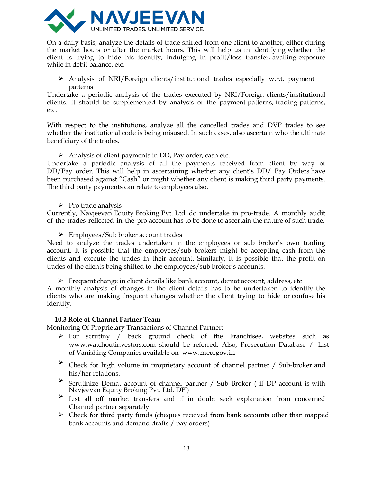

On a daily basis, analyze the details of trade shifted from one client to another, either during the market hours or after the market hours. This will help us in identifying whether the client is trying to hide his identity, indulging in profit/loss transfer, availing exposure while in debit balance, etc.

 $\triangleright$  Analysis of NRI/Foreign clients/institutional trades especially w.r.t. payment patterns

Undertake a periodic analysis of the trades executed by NRI/Foreign clients/institutional clients. It should be supplemented by analysis of the payment patterns, trading patterns, etc.

With respect to the institutions, analyze all the cancelled trades and DVP trades to see whether the institutional code is being misused. In such cases, also ascertain who the ultimate beneficiary of the trades.

 $\triangleright$  Analysis of client payments in DD, Pay order, cash etc.

Undertake a periodic analysis of all the payments received from client by way of DD/Pay order. This will help in ascertaining whether any client's DD/ Pay Orders have been purchased against "Cash" or might whether any client is making third party payments. The third party payments can relate to employees also.

 $\triangleright$  Pro trade analysis

Currently, Navjeevan Equity Broking Pvt. Ltd. do undertake in pro-trade. A monthly audit of the trades reflected in the pro account has to be done to ascertain the nature of such trade.

➢ Employees/Sub broker account trades

Need to analyze the trades undertaken in the employees or sub broker's own trading account. It is possible that the employees/sub brokers might be accepting cash from the clients and execute the trades in their account. Similarly, it is possible that the profit on trades of the clients being shifted to the employees/sub broker's accounts.

 $\triangleright$  Frequent change in client details like bank account, demat account, address, etc

A monthly analysis of changes in the client details has to be undertaken to identify the clients who are making frequent changes whether the client trying to hide or confuse his identity.

#### **10.3 Role of Channel Partner Team**

Monitoring Of Proprietary Transactions of Channel Partner:

- ➢ For scrutiny / back ground check of the Franchisee, websites such as [www.watchoutinvestors.com](http://www.watchoutinvestors.com/) should be referred. Also, Prosecution Database / List of Vanishing Companies available on www.mca.gov.in
- ➢ Check for high volume in proprietary account of channel partner / Sub-broker and his/her relations.
- ➢ Scrutinize Demat account of channel partner / Sub Broker ( if DP account is with Navjeevan Equity Broking Pvt. Ltd. DP )
- List all off market transfers and if in doubt seek explanation from concerned Channel partner separately
- ➢ Check for third party funds (cheques received from bank accounts other than mapped bank accounts and demand drafts / pay orders)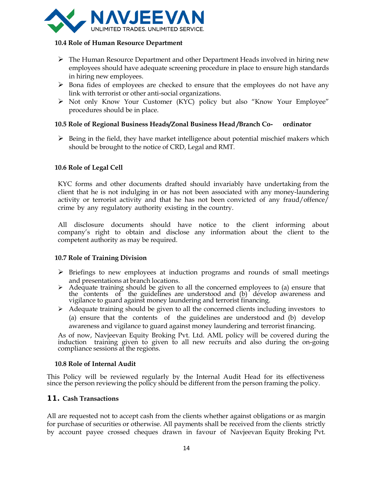

#### **10.4 Role of Human Resource Department**

- ➢ The Human Resource Department and other Department Heads involved in hiring new employees should have adequate screening procedure in place to ensure high standards in hiring new employees.
- $\triangleright$  Bona fides of employees are checked to ensure that the employees do not have any link with terrorist or other anti-social organizations.
- ➢ Not only Know Your Customer (KYC) policy but also "Know Your Employee" procedures should be in place.

#### **10.5 Role of Regional Business Heads/Zonal Business Head /Branch Co- ordinator**

 $\triangleright$  Being in the field, they have market intelligence about potential mischief makers which should be brought to the notice of CRD, Legal and RMT.

#### **10.6 Role of Legal Cell**

KYC forms and other documents drafted should invariably have undertaking from the client that he is not indulging in or has not been associated with any money-laundering activity or terrorist activity and that he has not been convicted of any fraud/offence/ crime by any regulatory authority existing in the country.

All disclosure documents should have notice to the client informing about company's right to obtain and disclose any information about the client to the competent authority as may be required.

#### **10.7 Role of Training Division**

- ➢ Briefings to new employees at induction programs and rounds of small meetings and presentations at branch locations.
- ➢ Adequate training should be given to all the concerned employees to (a) ensure that the contents of the guidelines are understood and (b) develop awareness and vigilance to guard against money laundering and terrorist financing.
- $\triangleright$  Adequate training should be given to all the concerned clients including investors to (a) ensure that the contents of the guidelines are understood and (b) develop awareness and vigilance to guard against money laundering and terrorist financing.

As of now, Navjeevan Equity Broking Pvt. Ltd. AML policy will be covered during the induction training given to given to all new recruits and also during the on-going compliance sessions at the regions.

#### **10.8 Role of Internal Audit**

This Policy will be reviewed regularly by the Internal Audit Head for its effectiveness since the person reviewing the policy should be different from the person framing the policy.

#### **11. Cash Transactions**

All are requested not to accept cash from the clients whether against obligations or as margin for purchase of securities or otherwise. All payments shall be received from the clients strictly by account payee crossed cheques drawn in favour of Navjeevan Equity Broking Pvt.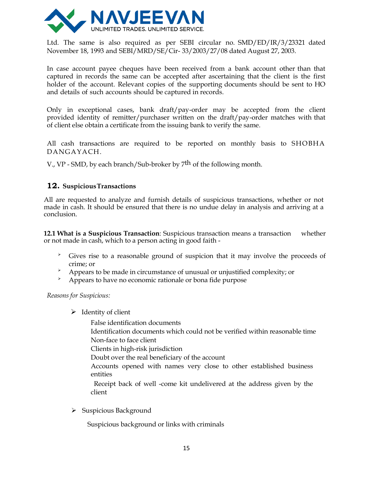

Ltd. The same is also required as per SEBI circular no. SMD/ED/IR/3/23321 dated November 18, 1993 and SEBI/MRD/SE/Cir- 33/2003/27/08 dated August 27, 2003.

In case account payee cheques have been received from a bank account other than that captured in records the same can be accepted after ascertaining that the client is the first holder of the account. Relevant copies of the supporting documents should be sent to HO and details of such accounts should be captured in records.

Only in exceptional cases, bank draft/pay-order may be accepted from the client provided identity of remitter/purchaser written on the draft/pay-order matches with that of client else obtain a certificate from the issuing bank to verify the same.

All cash transactions are required to be reported on monthly basis to SHOBHA DANGAYACH.

V., VP - SMD, by each branch/Sub-broker by 7<sup>th</sup> of the following month.

#### **12. SuspiciousTransactions**

All are requested to analyze and furnish details of suspicious transactions, whether or not made in cash. It should be ensured that there is no undue delay in analysis and arriving at a conclusion.

**12.1 What is a Suspicious Transaction**: Suspicious transaction means a transaction whether or not made in cash, which to a person acting in good faith -

- ➢ Gives rise to a reasonable ground of suspicion that it may involve the proceeds of crime; or
- $\rightarrow$  Appears to be made in circumstance of unusual or unjustified complexity; or
- ➢ Appears to have no economic rationale or bona fide purpose

*Reasons for Suspicious:*

- $\triangleright$  Identity of client
	- False identification documents
	- Identification documents which could not be verified within reasonable time Non-face to face client
	- Clients in high-risk jurisdiction
	- Doubt over the real beneficiary of the account
	- Accounts opened with names very close to other established business entities
	- Receipt back of well -come kit undelivered at the address given by the client
- ➢ Suspicious Background

Suspicious background or links with criminals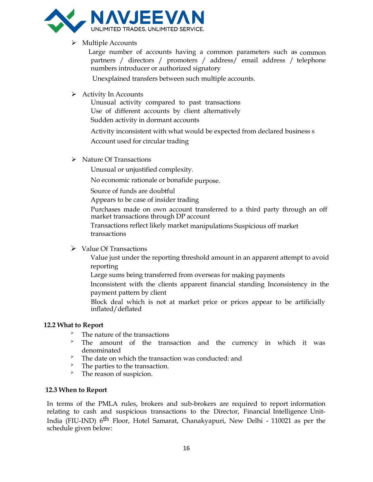

#### ➢ Multiple Accounts

Large number of accounts having a common parameters such as common partners / directors / promoters / address/ email address / telephone numbers introducer or authorized signatory

Unexplained transfers between such multiple accounts.

#### $\triangleright$  Activity In Accounts

Unusual activity compared to past transactions Use of different accounts by client alternatively Sudden activity in dormant accounts

 Activity inconsistent with what would be expected from declared business s Account used for circular trading

➢ Nature Of Transactions

Unusual or unjustified complexity.

No economic rationale or bonafide purpose.

Source of funds are doubtful

Appears to be case of insider trading

Purchases made on own account transferred to a third party through an off market transactions through DP account

 Transactions reflect likely market manipulations Suspicious off market transactions

#### ➢ Value Of Transactions

Value just under the reporting threshold amount in an apparent attempt to avoid reporting

Large sums being transferred from overseas for making payments

Inconsistent with the clients apparent financial standing Inconsistency in the payment pattern by client

Block deal which is not at market price or prices appear to be artificially inflated/deflated

#### **12.2 What to Report**

- ➢ The nature of the transactions
- ➢ The amount of the transaction and the currency in which it was denominated
- ➢ The date on which the transaction was conducted: and
- The parties to the transaction.
- > The reason of suspicion.

#### **12.3 When to Report**

In terms of the PMLA rules, brokers and sub-brokers are required to report information relating to cash and suspicious transactions to the Director, Financial Intelligence Unit-India (FIU-IND) 6<sup>th</sup> Floor, Hotel Samarat, Chanakyapuri, New Delhi - 110021 as per the schedule given below: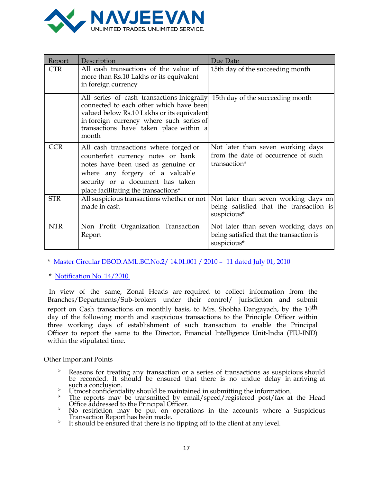

| Report     | Description                                                                                                                                                                                                                                                         | Due Date                                                                                       |
|------------|---------------------------------------------------------------------------------------------------------------------------------------------------------------------------------------------------------------------------------------------------------------------|------------------------------------------------------------------------------------------------|
| <b>CTR</b> | All cash transactions of the value of<br>more than Rs.10 Lakhs or its equivalent<br>in foreign currency                                                                                                                                                             | 15th day of the succeeding month                                                               |
|            | All series of cash transactions Integrally 15th day of the succeeding month<br>connected to each other which have been<br>valued below Rs.10 Lakhs or its equivalent<br>in foreign currency where such series of<br>transactions have taken place within a<br>month |                                                                                                |
| <b>CCR</b> | All cash transactions where forged or<br>counterfeit currency notes or bank<br>notes have been used as genuine or<br>where any forgery of a valuable<br>security or a document has taken<br>place facilitating the transactions*                                    | Not later than seven working days<br>from the date of occurrence of such<br>transaction*       |
| <b>STR</b> | All suspicious transactions whether or not<br>made in cash                                                                                                                                                                                                          | Not later than seven working days on<br>being satisfied that the transaction is<br>suspicious* |
| <b>NTR</b> | Non Profit Organization Transaction<br>Report                                                                                                                                                                                                                       | Not later than seven working days on<br>being satisfied that the transaction is<br>suspicious* |

\* Master Circular [DBOD.AML.BC.No.2/](http://www.rbi.org.in/scripts/BS_ViewMasCirculardetails.aspx?id=5783) 14.01.001 / 2010 – 11 dated July 01, 2010

\* [Notification](http://fiuindia.gov.in/downloads/PMLANotification122010.pdf) No. 14/2010

In view of the same, Zonal Heads are required to collect information from the Branches/Departments/Sub-brokers under their control/ jurisdiction and submit report on Cash transactions on monthly basis, to Mrs. Shobha Dangayach, by the 10<sup>th</sup> day of the following month and suspicious transactions to the Principle Officer within three working days of establishment of such transaction to enable the Principal Officer to report the same to the Director, Financial Intelligence Unit-India (FIU-IND) within the stipulated time.

Other Important Points

- ➢ Reasons for treating any transaction or a series of transactions as suspicious should be recorded. It should be ensured that there is no undue delay in arriving at such a conclusion.
- $\overrightarrow{v}$  Utmost confidentiality should be maintained in submitting the information.
- The reports may be transmitted by email/speed/registered post/fax at the Head Office addressed to the Principal Officer.
- ➢ No restriction may be put on operations in the accounts where a Suspicious Transaction Report has been made.
- ➢ It should be ensured that there is no tipping off to the client at any level.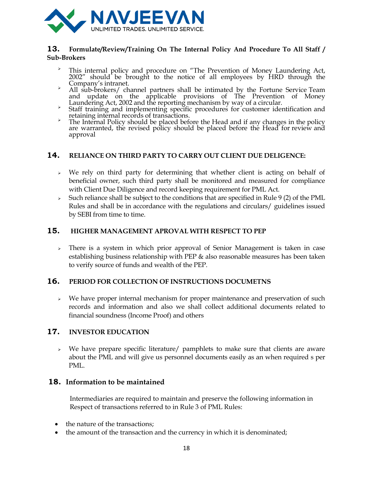

#### **13. Formulate/Review/Training On The Internal Policy And Procedure To All Staff / Sub-Brokers**

- <sup>></sup> This internal policy and procedure on "The Prevention of Money Laundering Act, 2002" should be brought to the notice of all employees by HRD through the Company's intranet.
- ➢ All sub-brokers/ channel partners shall be intimated by the Fortune Service Team and update on the applicable provisions of The Prevention of Money Laundering Act, 2002 and the reporting mechanism by way of a circular.
- ➢ Staff training and implementing specific procedures for customer identification and retaining internal records of transactions.
- <sup>></sup> The Internal Policy should be placed before the Head and if any changes in the policy are warranted, the revised policy should be placed before the Head for review and approval

#### **14. RELIANCE ON THIRD PARTY TO CARRY OUT CLIENT DUE DELIGENCE:**

- $\rightarrow$  We rely on third party for determining that whether client is acting on behalf of beneficial owner, such third party shall be monitored and measured for compliance with Client Due Diligence and record keeping requirement for PML Act.
- ➢ Such reliance shall be subject to the conditions that are specified in Rule 9 (2) of the PML Rules and shall be in accordance with the regulations and circulars/ guidelines issued by SEBI from time to time.

#### **15. HIGHER MANAGEMENT APROVAL WITH RESPECT TO PEP**

 $\rightarrow$  There is a system in which prior approval of Senior Management is taken in case establishing business relationship with PEP & also reasonable measures has been taken to verify source of funds and wealth of the PEP.

#### **16. PERIOD FOR COLLECTION OF INSTRUCTIONS DOCUMETNS**

 $\rightarrow$  We have proper internal mechanism for proper maintenance and preservation of such records and information and also we shall collect additional documents related to financial soundness (Income Proof) and others

#### **17. INVESTOR EDUCATION**

 $\rightarrow$  We have prepare specific literature/ pamphlets to make sure that clients are aware about the PML and will give us personnel documents easily as an when required s per PML.

#### **18. Information to be maintained**

Intermediaries are required to maintain and preserve the following information in Respect of transactions referred to in Rule 3 of PML Rules:

- the nature of the transactions;
- the amount of the transaction and the currency in which it is denominated;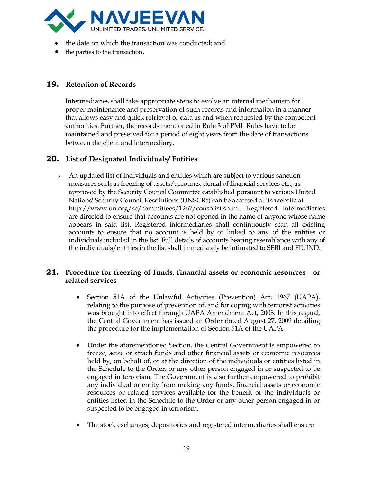

- the date on which the transaction was conducted; and
- the parties to the transaction.

### **19. Retention of Records**

Intermediaries shall take appropriate steps to evolve an internal mechanism for proper maintenance and preservation of such records and information in a manner that allows easy and quick retrieval of data as and when requested by the competent authorities. Further, the records mentioned in Rule 3 of PML Rules have to be maintained and preserved for a period of eight years from the date of transactions between the client and intermediary.

#### **20. List of Designated Individuals/ Entities**

 $\rightarrow$  An updated list of individuals and entities which are subject to various sanction measures such as freezing of assets/accounts, denial of financial services etc., as approved by the Security Council Committee established pursuant to various United Nations' Security Council Resolutions (UNSCRs) can be accessed at its website at http://www.un.org/sc/committees/1267/consolist.shtml. Registered intermediaries are directed to ensure that accounts are not opened in the name of anyone whose name appears in said list. Registered intermediaries shall continuously scan all existing accounts to ensure that no account is held by or linked to any of the entities or individuals included in the list. Full details of accounts bearing resemblance with any of the individuals/entities in the list shall immediately be intimated to SEBI and FIUIND.

#### **21. Procedure for freezing of funds, financial assets or economic resources or related services**

- Section 51A of the Unlawful Activities (Prevention) Act, 1967 (UAPA), relating to the purpose of prevention of, and for coping with terrorist activities was brought into effect through UAPA Amendment Act, 2008. In this regard, the Central Government has issued an Order dated August 27, 2009 detailing the procedure for the implementation of Section 51A of the UAPA.
- Under the aforementioned Section, the Central Government is empowered to freeze, seize or attach funds and other financial assets or economic resources held by, on behalf of, or at the direction of the individuals or entities listed in the Schedule to the Order, or any other person engaged in or suspected to be engaged in terrorism. The Government is also further empowered to prohibit any individual or entity from making any funds, financial assets or economic resources or related services available for the benefit of the individuals or entities listed in the Schedule to the Order or any other person engaged in or suspected to be engaged in terrorism.
- The stock exchanges, depositories and registered intermediaries shall ensure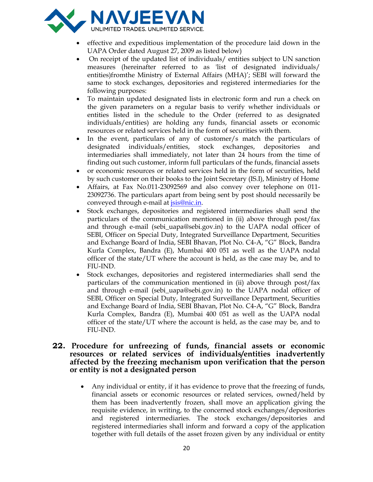

- effective and expeditious implementation of the procedure laid down in the UAPA Order dated August 27, 2009 as listed below)
- On receipt of the updated list of individuals/ entities subject to UN sanction measures (hereinafter referred to as 'list of designated individuals/ entities)fromthe Ministry of External Affairs (MHA)'; SEBI will forward the same to stock exchanges, depositories and registered intermediaries for the following purposes:
- To maintain updated designated lists in electronic form and run a check on the given parameters on a regular basis to verify whether individuals or entities listed in the schedule to the Order (referred to as designated individuals/entities) are holding any funds, financial assets or economic resources or related services held in the form of securities with them.
- In the event, particulars of any of customer/s match the particulars of designated individuals/entities, stock exchanges, depositories and intermediaries shall immediately, not later than 24 hours from the time of finding out such customer, inform full particulars of the funds, financial assets
- or economic resources or related services held in the form of securities, held by such customer on their books to the Joint Secretary (IS.I), Ministry of Home
- Affairs, at Fax No.011-23092569 and also convey over telephone on 011- 23092736. The particulars apart from being sent by post should necessarily be conveyed through e-mail at *isis@nic.in.*
- Stock exchanges, depositories and registered intermediaries shall send the particulars of the communication mentioned in (ii) above through post/fax and through e-mail (sebi\_uapa@sebi.gov.in) to the UAPA nodal officer of SEBI, Officer on Special Duty, Integrated Surveillance Department, Securities and Exchange Board of India, SEBI Bhavan, Plot No. C4-A, "G" Block, Bandra Kurla Complex, Bandra (E), Mumbai 400 051 as well as the UAPA nodal officer of the state/UT where the account is held, as the case may be, and to FIU-IND.
- Stock exchanges, depositories and registered intermediaries shall send the particulars of the communication mentioned in (ii) above through post/fax and through e-mail (sebi\_uapa@sebi.gov.in) to the UAPA nodal officer of SEBI, Officer on Special Duty, Integrated Surveillance Department, Securities and Exchange Board of India, SEBI Bhavan, Plot No. C4-A, "G" Block, Bandra Kurla Complex, Bandra (E), Mumbai 400 051 as well as the UAPA nodal officer of the state/UT where the account is held, as the case may be, and to FIU-IND.

#### **22. Procedure for unfreezing of funds, financial assets or economic resources or related services of individuals/entities inadvertently affected by the freezing mechanism upon verification that the person or entity is not a designated person**

• Any individual or entity, if it has evidence to prove that the freezing of funds, financial assets or economic resources or related services, owned/held by them has been inadvertently frozen, shall move an application giving the requisite evidence, in writing, to the concerned stock exchanges/depositories and registered intermediaries. The stock exchanges/depositories and registered intermediaries shall inform and forward a copy of the application together with full details of the asset frozen given by any individual or entity